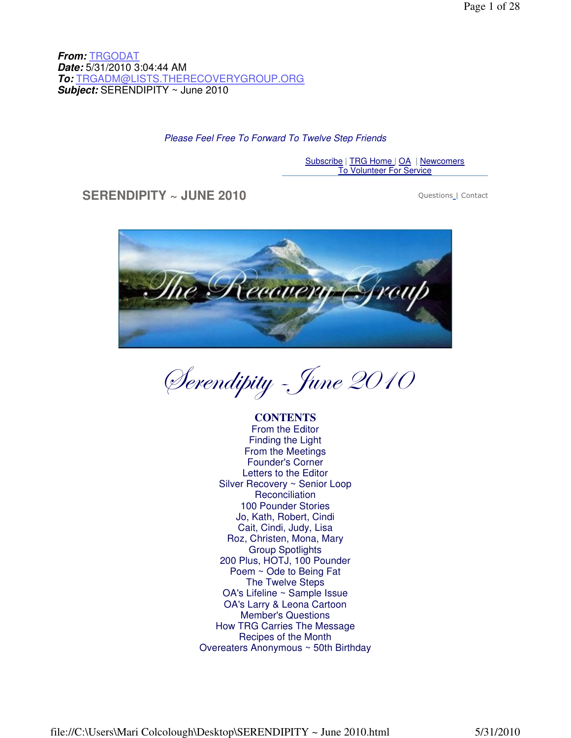[Subscribe](mailto:SerendipityNewsletter-subscribe-request@lists.therecoverygroup.org) | [TRG Home](http://www.therecoverygroup.org/) [| OA](http://www.oa.org/) | [Newcomers](http://www.therecoverygroup.org/newcomers/index.html) [To Volunteer For Service](mailto:TrustedServantsPool-subscribe-request@lists.therecoverygroup.org)

### **SERENDIPITY ~ JUNE 2010** [Questions](mailto:TRGAdm@TheRecoveryGroup.org) | [Contact](mailto:trgodat@TheRecoveryGroup.org)



(Sevendipity - June 2010

**CONTENTS**  From the Editor Finding the Light From the Meetings Founder's Corner Letters to the Editor Silver Recovery ~ Senior Loop **Reconciliation** 100 Pounder Stories Jo, Kath, Robert, Cindi Cait, Cindi, Judy, Lisa Roz, Christen, Mona, Mary Group Spotlights 200 Plus, HOTJ, 100 Pounder Poem ~ Ode to Being Fat The Twelve Steps OA's Lifeline ~ Sample Issue OA's Larry & Leona Cartoon Member's Questions How TRG Carries The Message Recipes of the Month Overeaters Anonymous ~ 50th Birthday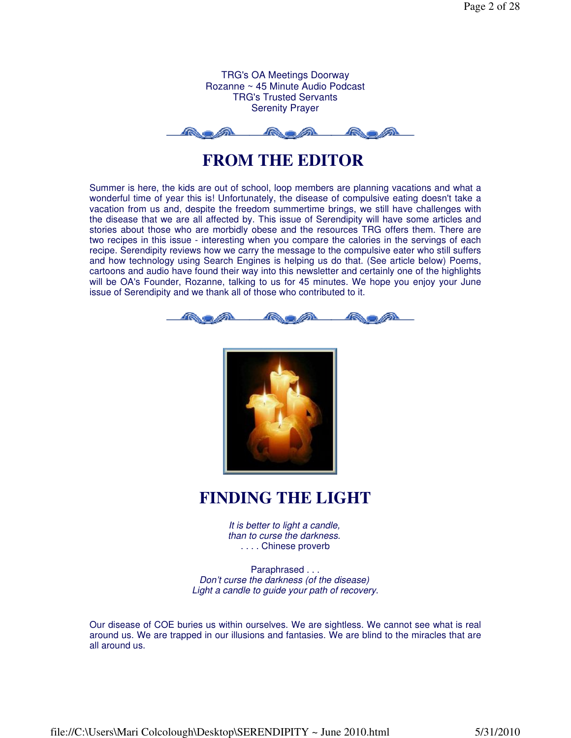TRG's OA Meetings Doorway Rozanne ~ 45 Minute Audio Podcast TRG's Trusted Servants Serenity Prayer

# **FROM THE EDITOR**

Summer is here, the kids are out of school, loop members are planning vacations and what a wonderful time of year this is! Unfortunately, the disease of compulsive eating doesn't take a vacation from us and, despite the freedom summertime brings, we still have challenges with the disease that we are all affected by. This issue of Serendipity will have some articles and stories about those who are morbidly obese and the resources TRG offers them. There are two recipes in this issue - interesting when you compare the calories in the servings of each recipe. Serendipity reviews how we carry the message to the compulsive eater who still suffers and how technology using Search Engines is helping us do that. (See article below) Poems, cartoons and audio have found their way into this newsletter and certainly one of the highlights will be OA's Founder, Rozanne, talking to us for 45 minutes. We hope you enjoy your June issue of Serendipity and we thank all of those who contributed to it.





# **FINDING THE LIGHT**

It is better to light a candle. than to curse the darkness. . . . . Chinese proverb

Paraphrased . . . Don't curse the darkness (of the disease) Light a candle to guide your path of recovery.

Our disease of COE buries us within ourselves. We are sightless. We cannot see what is real around us. We are trapped in our illusions and fantasies. We are blind to the miracles that are all around us.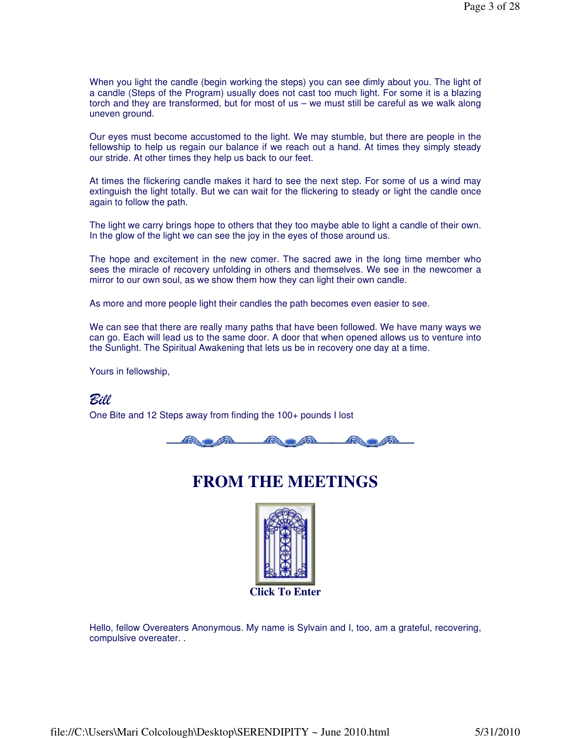When you light the candle (begin working the steps) you can see dimly about you. The light of a candle (Steps of the Program) usually does not cast too much light. For some it is a blazing torch and they are transformed, but for most of us  $-$  we must still be careful as we walk along uneven ground.

Our eyes must become accustomed to the light. We may stumble, but there are people in the fellowship to help us regain our balance if we reach out a hand. At times they simply steady our stride. At other times they help us back to our feet.

At times the flickering candle makes it hard to see the next step. For some of us a wind may extinguish the light totally. But we can wait for the flickering to steady or light the candle once again to follow the path.

The light we carry brings hope to others that they too maybe able to light a candle of their own. In the glow of the light we can see the joy in the eyes of those around us.

The hope and excitement in the new comer. The sacred awe in the long time member who sees the miracle of recovery unfolding in others and themselves. We see in the newcomer a mirror to our own soul, as we show them how they can light their own candle.

As more and more people light their candles the path becomes even easier to see.

We can see that there are really many paths that have been followed. We have many ways we can go. Each will lead us to the same door. A door that when opened allows us to venture into the Sunlight. The Spiritual Awakening that lets us be in recovery one day at a time.

Yours in fellowship,

### Bill

One Bite and 12 Steps away from finding the 100+ pounds I lost



# **FROM THE MEETINGS**



Hello, fellow Overeaters Anonymous. My name is Sylvain and I, too, am a grateful, recovering, compulsive overeater. .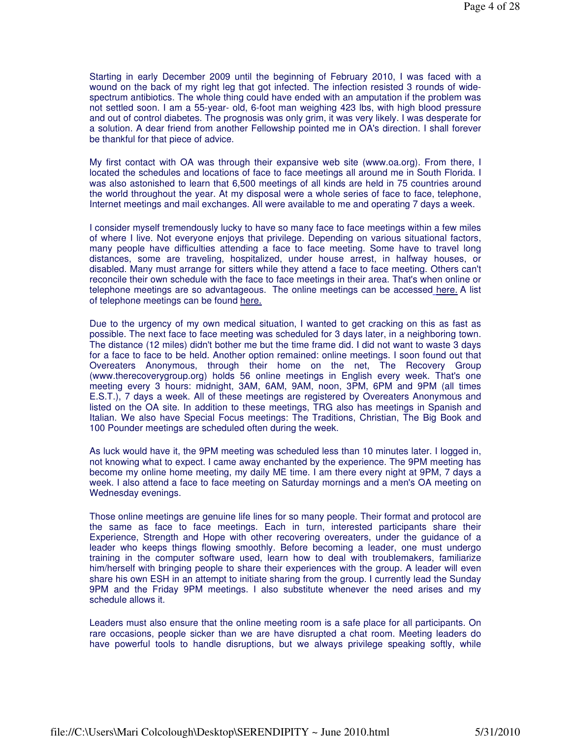Starting in early December 2009 until the beginning of February 2010, I was faced with a wound on the back of my right leg that got infected. The infection resisted 3 rounds of widespectrum antibiotics. The whole thing could have ended with an amputation if the problem was not settled soon. I am a 55-year- old, 6-foot man weighing 423 lbs, with high blood pressure and out of control diabetes. The prognosis was only grim, it was very likely. I was desperate for a solution. A dear friend from another Fellowship pointed me in OA's direction. I shall forever be thankful for that piece of advice.

My first contact with OA was through their expansive web site (www.oa.org). From there, I located the schedules and locations of face to face meetings all around me in South Florida. I was also astonished to learn that 6,500 meetings of all kinds are held in 75 countries around the world throughout the year. At my disposal were a whole series of face to face, telephone, Internet meetings and mail exchanges. All were available to me and operating 7 days a week.

I consider myself tremendously lucky to have so many face to face meetings within a few miles of where I live. Not everyone enjoys that privilege. Depending on various situational factors, many people have difficulties attending a face to face meeting. Some have to travel long distances, some are traveling, hospitalized, under house arrest, in halfway houses, or disabled. Many must arrange for sitters while they attend a face to face meeting. Others can't reconcile their own schedule with the face to face meetings in their area. That's when online or telephone meetings are so advantageous. The online meetings can be accessed [here.](http://www.starchat.net/chat/index.php?chan=recovery) A list of telephone meetings can be found [here.](http://www.oa.org/pdfs/phone_mtgs.pdf)

Due to the urgency of my own medical situation, I wanted to get cracking on this as fast as possible. The next face to face meeting was scheduled for 3 days later, in a neighboring town. The distance (12 miles) didn't bother me but the time frame did. I did not want to waste 3 days for a face to face to be held. Another option remained: online meetings. I soon found out that Overeaters Anonymous, through their home on the net, The Recovery Group (www.therecoverygroup.org) holds 56 online meetings in English every week. That's one meeting every 3 hours: midnight, 3AM, 6AM, 9AM, noon, 3PM, 6PM and 9PM (all times E.S.T.), 7 days a week. All of these meetings are registered by Overeaters Anonymous and listed on the OA site. In addition to these meetings, TRG also has meetings in Spanish and Italian. We also have Special Focus meetings: The Traditions, Christian, The Big Book and 100 Pounder meetings are scheduled often during the week.

As luck would have it, the 9PM meeting was scheduled less than 10 minutes later. I logged in, not knowing what to expect. I came away enchanted by the experience. The 9PM meeting has become my online home meeting, my daily ME time. I am there every night at 9PM, 7 days a week. I also attend a face to face meeting on Saturday mornings and a men's OA meeting on Wednesday evenings.

Those online meetings are genuine life lines for so many people. Their format and protocol are the same as face to face meetings. Each in turn, interested participants share their Experience, Strength and Hope with other recovering overeaters, under the guidance of a leader who keeps things flowing smoothly. Before becoming a leader, one must undergo training in the computer software used, learn how to deal with troublemakers, familiarize him/herself with bringing people to share their experiences with the group. A leader will even share his own ESH in an attempt to initiate sharing from the group. I currently lead the Sunday 9PM and the Friday 9PM meetings. I also substitute whenever the need arises and my schedule allows it.

Leaders must also ensure that the online meeting room is a safe place for all participants. On rare occasions, people sicker than we are have disrupted a chat room. Meeting leaders do have powerful tools to handle disruptions, but we always privilege speaking softly, while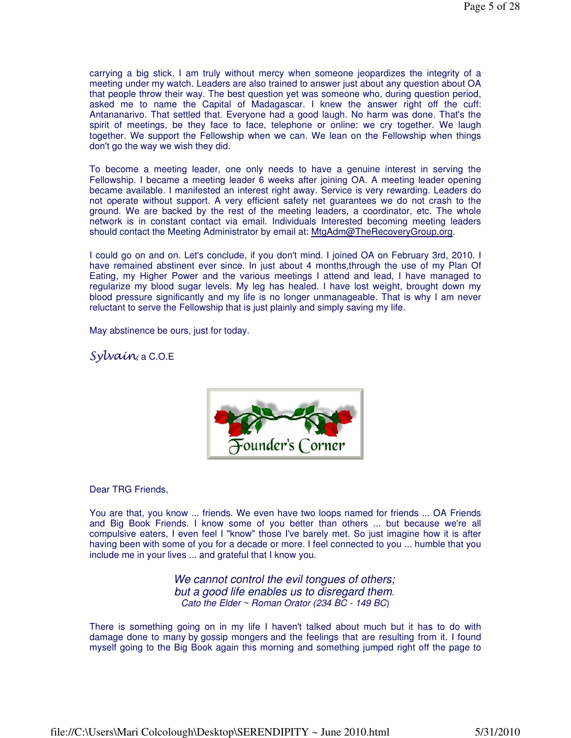carrying a big stick. I am truly without mercy when someone jeopardizes the integrity of a meeting under my watch. Leaders are also trained to answer just about any question about OA that people throw their way. The best question yet was someone who, during question period, asked me to name the Capital of Madagascar. I knew the answer right off the cuff: Antananarivo. That settled that. Everyone had a good laugh. No harm was done. That's the spirit of meetings, be they face to face, telephone or online: we cry together. We laugh together. We support the Fellowship when we can. We lean on the Fellowship when things don't go the way we wish they did.

To become a meeting leader, one only needs to have a genuine interest in serving the Fellowship. I became a meeting leader 6 weeks after joining OA. A meeting leader opening became available. I manifested an interest right away. Service is very rewarding. Leaders do not operate without support. A very efficient safety net guarantees we do not crash to the ground. We are backed by the rest of the meeting leaders, a coordinator, etc. The whole network is in constant contact via email. Individuals Interested becoming meeting leaders should contact the Meeting Administrator by email at: [MtgAdm@TheRecoveryGroup.org](mailto:MtgAdm@TheRecoveryGroup.org).

I could go on and on. Let's conclude, if you don't mind. I joined OA on February 3rd, 2010. I have remained abstinent ever since. In just about 4 months,through the use of my Plan Of Eating, my Higher Power and the various meetings I attend and lead, I have managed to regularize my blood sugar levels. My leg has healed. I have lost weight, brought down my blood pressure significantly and my life is no longer unmanageable. That is why I am never reluctant to serve the Fellowship that is just plainly and simply saving my life.

May abstinence be ours, just for today.

Sylvain, a C.O.E



#### Dear TRG Friends,

You are that, you know ... friends. We even have two loops named for friends ... OA Friends and Big Book Friends. I know some of you better than others ... but because we're all compulsive eaters, I even feel I "know" those I've barely met. So just imagine how it is after having been with some of you for a decade or more. I feel connected to you ... humble that you include me in your lives ... and grateful that I know you.

> We cannot control the evil tongues of others; but a good life enables us to disregard them. Cato the Elder  $\sim$  Roman Orator (234 BC - 149 BC)

There is something going on in my life I haven't talked about much but it has to do with damage done to many by gossip mongers and the feelings that are resulting from it. I found myself going to the Big Book again this morning and something jumped right off the page to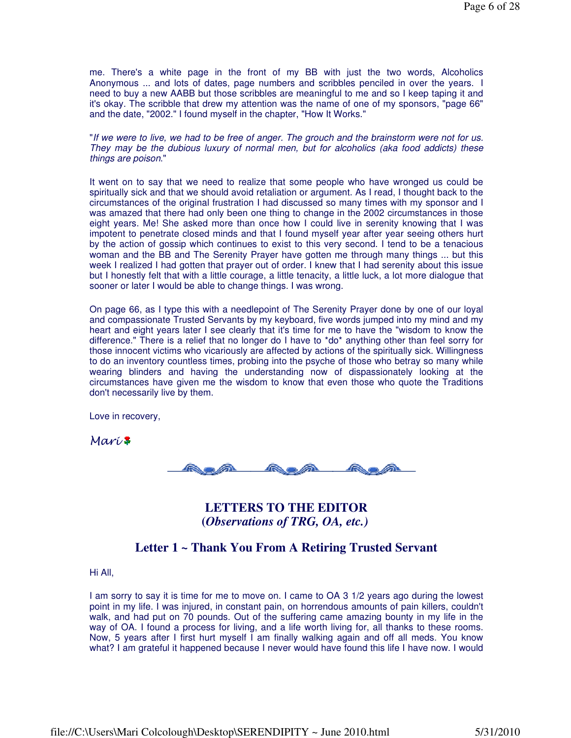me. There's a white page in the front of my BB with just the two words, Alcoholics Anonymous ... and lots of dates, page numbers and scribbles penciled in over the years. I need to buy a new AABB but those scribbles are meaningful to me and so I keep taping it and it's okay. The scribble that drew my attention was the name of one of my sponsors, "page 66" and the date, "2002." I found myself in the chapter, "How It Works."

"If we were to live, we had to be free of anger. The grouch and the brainstorm were not for us. They may be the dubious luxury of normal men, but for alcoholics (aka food addicts) these things are poison."

It went on to say that we need to realize that some people who have wronged us could be spiritually sick and that we should avoid retaliation or argument. As I read, I thought back to the circumstances of the original frustration I had discussed so many times with my sponsor and I was amazed that there had only been one thing to change in the 2002 circumstances in those eight years. Me! She asked more than once how I could live in serenity knowing that I was impotent to penetrate closed minds and that I found myself year after year seeing others hurt by the action of gossip which continues to exist to this very second. I tend to be a tenacious woman and the BB and The Serenity Prayer have gotten me through many things ... but this week I realized I had gotten that prayer out of order. I knew that I had serenity about this issue but I honestly felt that with a little courage, a little tenacity, a little luck, a lot more dialogue that sooner or later I would be able to change things. I was wrong.

On page 66, as I type this with a needlepoint of The Serenity Prayer done by one of our loyal and compassionate Trusted Servants by my keyboard, five words jumped into my mind and my heart and eight years later I see clearly that it's time for me to have the "wisdom to know the difference." There is a relief that no longer do I have to \*do\* anything other than feel sorry for those innocent victims who vicariously are affected by actions of the spiritually sick. Willingness to do an inventory countless times, probing into the psyche of those who betray so many while wearing blinders and having the understanding now of dispassionately looking at the circumstances have given me the wisdom to know that even those who quote the Traditions don't necessarily live by them.

Love in recovery,

Marí<sup>1</sup>

<u>a a</u> R.a.*i* 

#### **LETTERS TO THE EDITOR (***Observations of TRG, OA, etc.)*

#### **Letter 1 ~ Thank You From A Retiring Trusted Servant**

Hi All,

I am sorry to say it is time for me to move on. I came to OA 3 1/2 years ago during the lowest point in my life. I was injured, in constant pain, on horrendous amounts of pain killers, couldn't walk, and had put on 70 pounds. Out of the suffering came amazing bounty in my life in the way of OA. I found a process for living, and a life worth living for, all thanks to these rooms. Now, 5 years after I first hurt myself I am finally walking again and off all meds. You know what? I am grateful it happened because I never would have found this life I have now. I would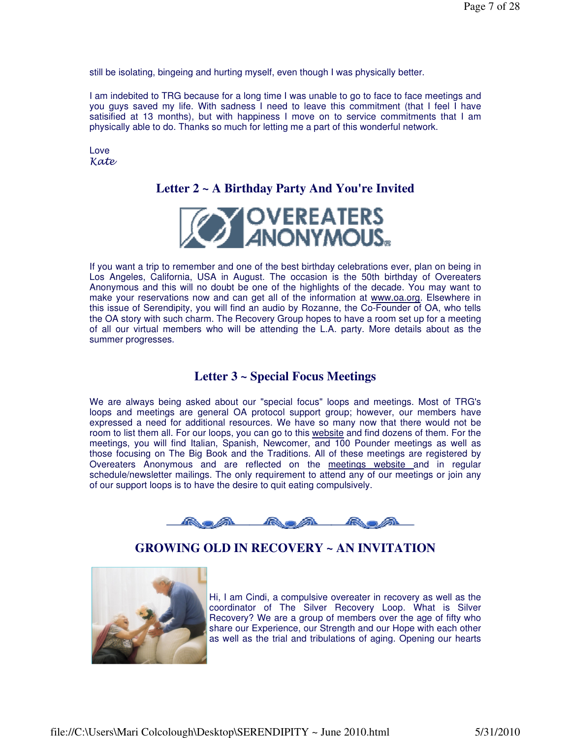still be isolating, bingeing and hurting myself, even though I was physically better.

I am indebited to TRG because for a long time I was unable to go to face to face meetings and you guys saved my life. With sadness I need to leave this commitment (that I feel I have satisified at 13 months), but with happiness I move on to service commitments that I am physically able to do. Thanks so much for letting me a part of this wonderful network.

Love Kate

## **Letter 2 ~ A Birthday Party And You're Invited**



If you want a trip to remember and one of the best birthday celebrations ever, plan on being in Los Angeles, California, USA in August. The occasion is the 50th birthday of Overeaters Anonymous and this will no doubt be one of the highlights of the decade. You may want to make your reservations now and can get all of the information a[t www.oa.org.](http://www.oa.org/) Elsewhere in this issue of Serendipity, you will find an audio by Rozanne, the Co-Founder of OA, who tells the OA story with such charm. The Recovery Group hopes to have a room set up for a meeting of all our virtual members who will be attending the L.A. party. More details about as the summer progresses.

### **Letter 3 ~ Special Focus Meetings**

We are always being asked about our "special focus" loops and meetings. Most of TRG's loops and meetings are general OA protocol support group; however, our members have expressed a need for additional resources. We have so many now that there would not be room to list them all. For our loops, you can go to this [website](http://www.therecoverygroup.org/odat/index.html) and find dozens of them. For the meetings, you will find Italian, Spanish, Newcomer, and 100 Pounder meetings as well as those focusing on The Big Book and the Traditions. All of these meetings are registered by Overeaters Anonymous and are reflected on the [meetings website](http://www.therecoverygroup.org/meetings/index.html) and in regular schedule/newsletter mailings. The only requirement to attend any of our meetings or join any of our support loops is to have the desire to quit eating compulsively.



## **GROWING OLD IN RECOVERY ~ AN INVITATION**



Hi, I am Cindi, a compulsive overeater in recovery as well as the coordinator of The Silver Recovery Loop. What is Silver Recovery? We are a group of members over the age of fifty who share our Experience, our Strength and our Hope with each other as well as the trial and tribulations of aging. Opening our hearts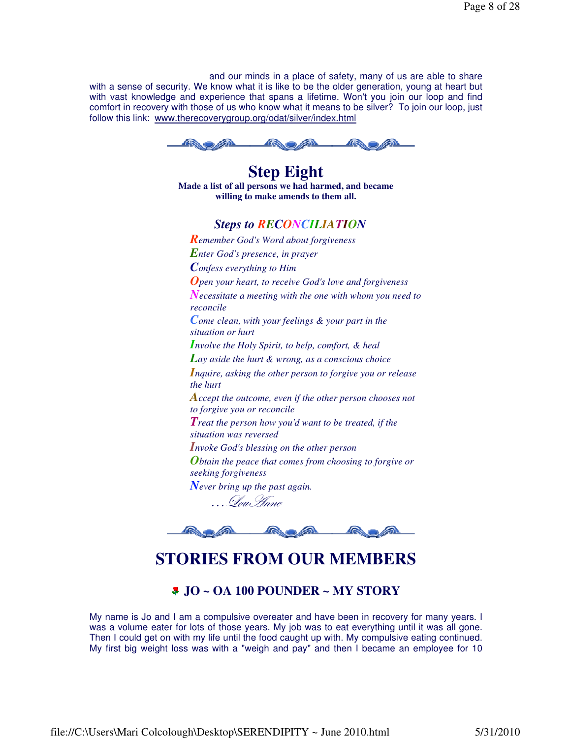and our minds in a place of safety, many of us are able to share with a sense of security. We know what it is like to be the older generation, young at heart but with vast knowledge and experience that spans a lifetime. Won't you join our loop and find comfort in recovery with those of us who know what it means to be silver? To join our loop, just follow this link: [www.therecoverygroup.org/odat/silver/index.html](http://www.therecoverygroup.org/odat/silver/index.html)



**Step Eight Made a list of all persons we had harmed, and became willing to make amends to them all.**

#### *Steps to RECONCILIATION*

*Remember God's Word about forgiveness Enter God's presence, in prayer Confess everything to Him Open your heart, to receive God's love and forgiveness Necessitate a meeting with the one with whom you need to reconcile Come clean, with your feelings & your part in the situation or hurt Involve the Holy Spirit, to help, comfort, & heal Lay aside the hurt & wrong, as a conscious choice Inquire, asking the other person to forgive you or release the hurt Accept the outcome, even if the other person chooses not to forgive you or reconcile Treat the person how you'd want to be treated, if the situation was reversed Invoke God's blessing on the other person Obtain the peace that comes from choosing to forgive or seeking forgiveness Never bring up the past again.*

 *. . .*\_ÉâTÇÇx

# **STORIES FROM OUR MEMBERS**

### **JO ~ OA 100 POUNDER ~ MY STORY**

My name is Jo and I am a compulsive overeater and have been in recovery for many years. I was a volume eater for lots of those years. My job was to eat everything until it was all gone. Then I could get on with my life until the food caught up with. My compulsive eating continued. My first big weight loss was with a "weigh and pay" and then I became an employee for 10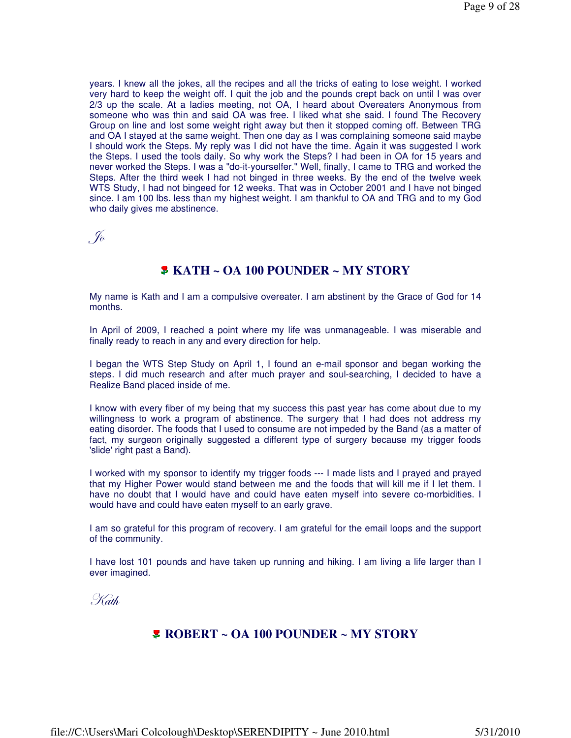years. I knew all the jokes, all the recipes and all the tricks of eating to lose weight. I worked very hard to keep the weight off. I quit the job and the pounds crept back on until I was over 2/3 up the scale. At a ladies meeting, not OA, I heard about Overeaters Anonymous from someone who was thin and said OA was free. I liked what she said. I found The Recovery Group on line and lost some weight right away but then it stopped coming off. Between TRG and OA I stayed at the same weight. Then one day as I was complaining someone said maybe I should work the Steps. My reply was I did not have the time. Again it was suggested I work the Steps. I used the tools daily. So why work the Steps? I had been in OA for 15 years and never worked the Steps. I was a "do-it-yourselfer." Well, finally, I came to TRG and worked the Steps. After the third week I had not binged in three weeks. By the end of the twelve week WTS Study, I had not bingeed for 12 weeks. That was in October 2001 and I have not binged since. I am 100 lbs. less than my highest weight. I am thankful to OA and TRG and to my God who daily gives me abstinence.

 $\mathscr{G}_a$ 

### **KATH ~ OA 100 POUNDER ~ MY STORY**

My name is Kath and I am a compulsive overeater. I am abstinent by the Grace of God for 14 months.

In April of 2009, I reached a point where my life was unmanageable. I was miserable and finally ready to reach in any and every direction for help.

I began the WTS Step Study on April 1, I found an e-mail sponsor and began working the steps. I did much research and after much prayer and soul-searching, I decided to have a Realize Band placed inside of me.

I know with every fiber of my being that my success this past year has come about due to my willingness to work a program of abstinence. The surgery that I had does not address my eating disorder. The foods that I used to consume are not impeded by the Band (as a matter of fact, my surgeon originally suggested a different type of surgery because my trigger foods 'slide' right past a Band).

I worked with my sponsor to identify my trigger foods --- I made lists and I prayed and prayed that my Higher Power would stand between me and the foods that will kill me if I let them. I have no doubt that I would have and could have eaten myself into severe co-morbidities. I would have and could have eaten myself to an early grave.

I am so grateful for this program of recovery. I am grateful for the email loops and the support of the community.

I have lost 101 pounds and have taken up running and hiking. I am living a life larger than I ever imagined.

. Kath

### **& ROBERT ~ OA 100 POUNDER ~ MY STORY**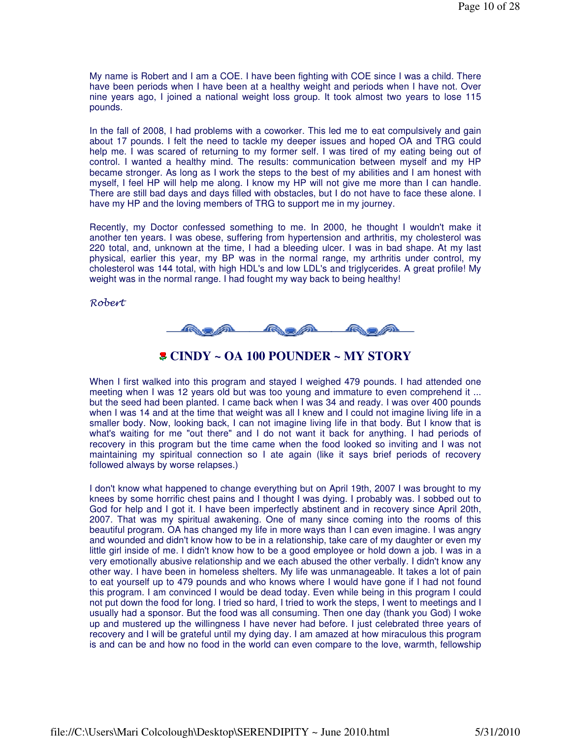My name is Robert and I am a COE. I have been fighting with COE since I was a child. There have been periods when I have been at a healthy weight and periods when I have not. Over nine years ago, I joined a national weight loss group. It took almost two years to lose 115 pounds.

In the fall of 2008, I had problems with a coworker. This led me to eat compulsively and gain about 17 pounds. I felt the need to tackle my deeper issues and hoped OA and TRG could help me. I was scared of returning to my former self. I was tired of my eating being out of control. I wanted a healthy mind. The results: communication between myself and my HP became stronger. As long as I work the steps to the best of my abilities and I am honest with myself, I feel HP will help me along. I know my HP will not give me more than I can handle. There are still bad days and days filled with obstacles, but I do not have to face these alone. I have my HP and the loving members of TRG to support me in my journey.

Recently, my Doctor confessed something to me. In 2000, he thought I wouldn't make it another ten years. I was obese, suffering from hypertension and arthritis, my cholesterol was 220 total, and, unknown at the time, I had a bleeding ulcer. I was in bad shape. At my last physical, earlier this year, my BP was in the normal range, my arthritis under control, my cholesterol was 144 total, with high HDL's and low LDL's and triglycerides. A great profile! My weight was in the normal range. I had fought my way back to being healthy!

#### Robert



#### **CINDY ~ OA 100 POUNDER ~ MY STORY**

When I first walked into this program and stayed I weighed 479 pounds. I had attended one meeting when I was 12 years old but was too young and immature to even comprehend it ... but the seed had been planted. I came back when I was 34 and ready. I was over 400 pounds when I was 14 and at the time that weight was all I knew and I could not imagine living life in a smaller body. Now, looking back, I can not imagine living life in that body. But I know that is what's waiting for me "out there" and I do not want it back for anything. I had periods of recovery in this program but the time came when the food looked so inviting and I was not maintaining my spiritual connection so I ate again (like it says brief periods of recovery followed always by worse relapses.)

I don't know what happened to change everything but on April 19th, 2007 I was brought to my knees by some horrific chest pains and I thought I was dying. I probably was. I sobbed out to God for help and I got it. I have been imperfectly abstinent and in recovery since April 20th, 2007. That was my spiritual awakening. One of many since coming into the rooms of this beautiful program. OA has changed my life in more ways than I can even imagine. I was angry and wounded and didn't know how to be in a relationship, take care of my daughter or even my little girl inside of me. I didn't know how to be a good employee or hold down a job. I was in a very emotionally abusive relationship and we each abused the other verbally. I didn't know any other way. I have been in homeless shelters. My life was unmanageable. It takes a lot of pain to eat yourself up to 479 pounds and who knows where I would have gone if I had not found this program. I am convinced I would be dead today. Even while being in this program I could not put down the food for long. I tried so hard, I tried to work the steps, I went to meetings and I usually had a sponsor. But the food was all consuming. Then one day (thank you God) I woke up and mustered up the willingness I have never had before. I just celebrated three years of recovery and I will be grateful until my dying day. I am amazed at how miraculous this program is and can be and how no food in the world can even compare to the love, warmth, fellowship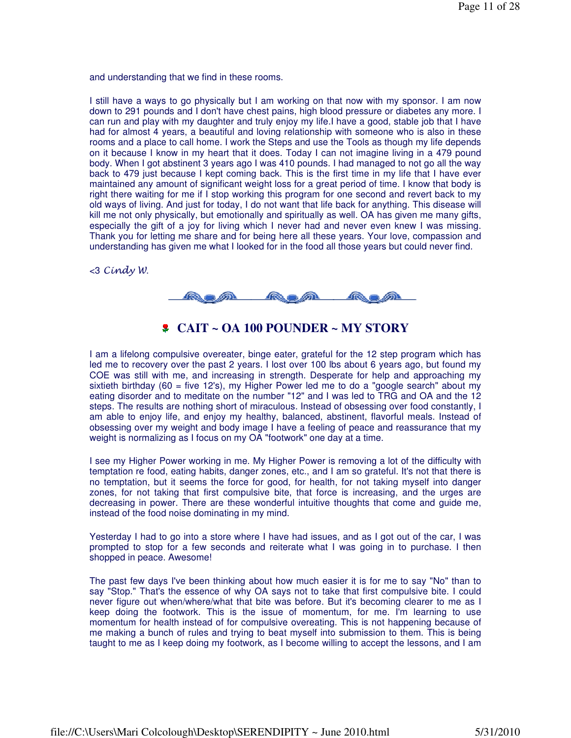and understanding that we find in these rooms.

I still have a ways to go physically but I am working on that now with my sponsor. I am now down to 291 pounds and I don't have chest pains, high blood pressure or diabetes any more. I can run and play with my daughter and truly enjoy my life.I have a good, stable job that I have had for almost 4 years, a beautiful and loving relationship with someone who is also in these rooms and a place to call home. I work the Steps and use the Tools as though my life depends on it because I know in my heart that it does. Today I can not imagine living in a 479 pound body. When I got abstinent 3 years ago I was 410 pounds. I had managed to not go all the way back to 479 just because I kept coming back. This is the first time in my life that I have ever maintained any amount of significant weight loss for a great period of time. I know that body is right there waiting for me if I stop working this program for one second and revert back to my old ways of living. And just for today, I do not want that life back for anything. This disease will kill me not only physically, but emotionally and spiritually as well. OA has given me many gifts, especially the gift of a joy for living which I never had and never even knew I was missing. Thank you for letting me share and for being here all these years. Your love, compassion and understanding has given me what I looked for in the food all those years but could never find.

<3 Cindy W.



## **CAIT ~ OA 100 POUNDER ~ MY STORY**

I am a lifelong compulsive overeater, binge eater, grateful for the 12 step program which has led me to recovery over the past 2 years. I lost over 100 lbs about 6 years ago, but found my COE was still with me, and increasing in strength. Desperate for help and approaching my sixtieth birthday (60 = five 12's), my Higher Power led me to do a "google search" about my eating disorder and to meditate on the number "12" and I was led to TRG and OA and the 12 steps. The results are nothing short of miraculous. Instead of obsessing over food constantly, I am able to enjoy life, and enjoy my healthy, balanced, abstinent, flavorful meals. Instead of obsessing over my weight and body image I have a feeling of peace and reassurance that my weight is normalizing as I focus on my OA "footwork" one day at a time.

I see my Higher Power working in me. My Higher Power is removing a lot of the difficulty with temptation re food, eating habits, danger zones, etc., and I am so grateful. It's not that there is no temptation, but it seems the force for good, for health, for not taking myself into danger zones, for not taking that first compulsive bite, that force is increasing, and the urges are decreasing in power. There are these wonderful intuitive thoughts that come and guide me, instead of the food noise dominating in my mind.

Yesterday I had to go into a store where I have had issues, and as I got out of the car. I was prompted to stop for a few seconds and reiterate what I was going in to purchase. I then shopped in peace. Awesome!

The past few days I've been thinking about how much easier it is for me to say "No" than to say "Stop." That's the essence of why OA says not to take that first compulsive bite. I could never figure out when/where/what that bite was before. But it's becoming clearer to me as I keep doing the footwork. This is the issue of momentum, for me. I'm learning to use momentum for health instead of for compulsive overeating. This is not happening because of me making a bunch of rules and trying to beat myself into submission to them. This is being taught to me as I keep doing my footwork, as I become willing to accept the lessons, and I am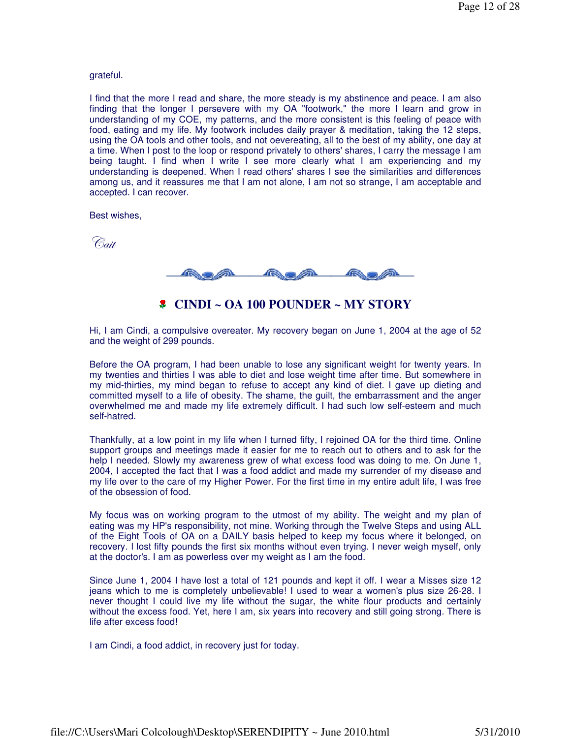#### grateful.

I find that the more I read and share, the more steady is my abstinence and peace. I am also finding that the longer I persevere with my OA "footwork," the more I learn and grow in understanding of my COE, my patterns, and the more consistent is this feeling of peace with food, eating and my life. My footwork includes daily prayer & meditation, taking the 12 steps, using the OA tools and other tools, and not oevereating, all to the best of my ability, one day at a time. When I post to the loop or respond privately to others' shares, I carry the message I am being taught. I find when I write I see more clearly what I am experiencing and my understanding is deepened. When I read others' shares I see the similarities and differences among us, and it reassures me that I am not alone, I am not so strange, I am acceptable and accepted. I can recover.

Best wishes,

Cait



### **CINDI ~ OA 100 POUNDER ~ MY STORY**

Hi, I am Cindi, a compulsive overeater. My recovery began on June 1, 2004 at the age of 52 and the weight of 299 pounds.

Before the OA program, I had been unable to lose any significant weight for twenty years. In my twenties and thirties I was able to diet and lose weight time after time. But somewhere in my mid-thirties, my mind began to refuse to accept any kind of diet. I gave up dieting and committed myself to a life of obesity. The shame, the guilt, the embarrassment and the anger overwhelmed me and made my life extremely difficult. I had such low self-esteem and much self-hatred.

Thankfully, at a low point in my life when I turned fifty, I rejoined OA for the third time. Online support groups and meetings made it easier for me to reach out to others and to ask for the help I needed. Slowly my awareness grew of what excess food was doing to me. On June 1, 2004, I accepted the fact that I was a food addict and made my surrender of my disease and my life over to the care of my Higher Power. For the first time in my entire adult life, I was free of the obsession of food.

My focus was on working program to the utmost of my ability. The weight and my plan of eating was my HP's responsibility, not mine. Working through the Twelve Steps and using ALL of the Eight Tools of OA on a DAILY basis helped to keep my focus where it belonged, on recovery. I lost fifty pounds the first six months without even trying. I never weigh myself, only at the doctor's. I am as powerless over my weight as I am the food.

Since June 1, 2004 I have lost a total of 121 pounds and kept it off. I wear a Misses size 12 jeans which to me is completely unbelievable! I used to wear a women's plus size 26-28. I never thought I could live my life without the sugar, the white flour products and certainly without the excess food. Yet, here I am, six years into recovery and still going strong. There is life after excess food!

I am Cindi, a food addict, in recovery just for today.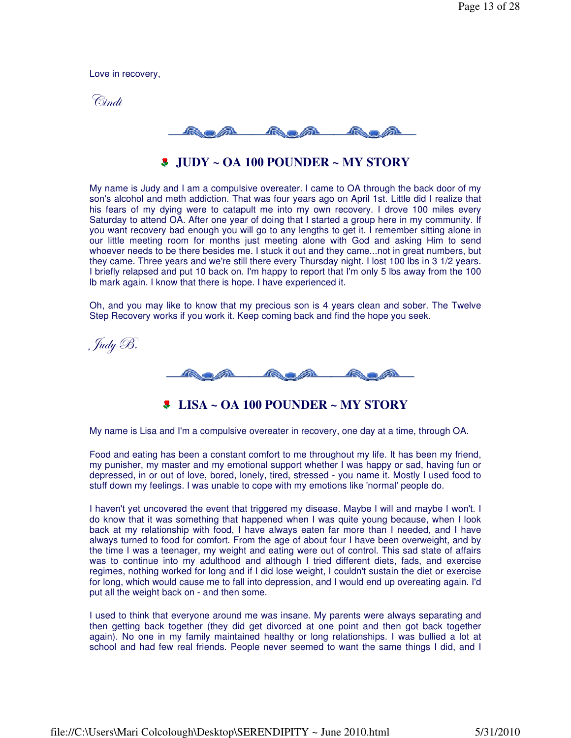Love in recovery,

Cindi



## **JUDY ~ OA 100 POUNDER ~ MY STORY**

My name is Judy and I am a compulsive overeater. I came to OA through the back door of my son's alcohol and meth addiction. That was four years ago on April 1st. Little did I realize that his fears of my dying were to catapult me into my own recovery. I drove 100 miles every Saturday to attend OA. After one year of doing that I started a group here in my community. If you want recovery bad enough you will go to any lengths to get it. I remember sitting alone in our little meeting room for months just meeting alone with God and asking Him to send whoever needs to be there besides me. I stuck it out and they came...not in great numbers, but they came. Three years and we're still there every Thursday night. I lost 100 lbs in 3 1/2 years. I briefly relapsed and put 10 back on. I'm happy to report that I'm only 5 lbs away from the 100 lb mark again. I know that there is hope. I have experienced it.

Oh, and you may like to know that my precious son is 4 years clean and sober. The Twelve Step Recovery works if you work it. Keep coming back and find the hope you seek.

, Judy B.

⋒⋴⋒

### **LISA ~ OA 100 POUNDER ~ MY STORY**

My name is Lisa and I'm a compulsive overeater in recovery, one day at a time, through OA.

Food and eating has been a constant comfort to me throughout my life. It has been my friend, my punisher, my master and my emotional support whether I was happy or sad, having fun or depressed, in or out of love, bored, lonely, tired, stressed - you name it. Mostly I used food to stuff down my feelings. I was unable to cope with my emotions like 'normal' people do.

I haven't yet uncovered the event that triggered my disease. Maybe I will and maybe I won't. I do know that it was something that happened when I was quite young because, when I look back at my relationship with food, I have always eaten far more than I needed, and I have always turned to food for comfort. From the age of about four I have been overweight, and by the time I was a teenager, my weight and eating were out of control. This sad state of affairs was to continue into my adulthood and although I tried different diets, fads, and exercise regimes, nothing worked for long and if I did lose weight, I couldn't sustain the diet or exercise for long, which would cause me to fall into depression, and I would end up overeating again. I'd put all the weight back on - and then some.

I used to think that everyone around me was insane. My parents were always separating and then getting back together (they did get divorced at one point and then got back together again). No one in my family maintained healthy or long relationships. I was bullied a lot at school and had few real friends. People never seemed to want the same things I did, and I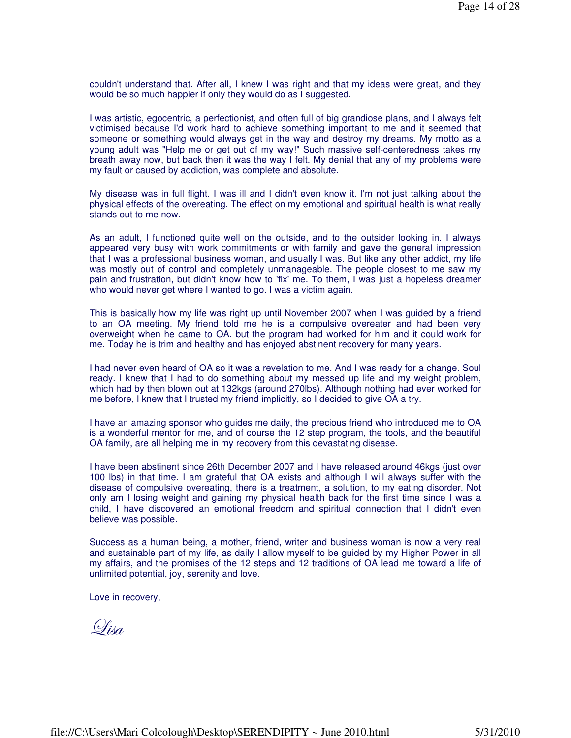couldn't understand that. After all, I knew I was right and that my ideas were great, and they would be so much happier if only they would do as I suggested.

I was artistic, egocentric, a perfectionist, and often full of big grandiose plans, and I always felt victimised because I'd work hard to achieve something important to me and it seemed that someone or something would always get in the way and destroy my dreams. My motto as a young adult was "Help me or get out of my way!" Such massive self-centeredness takes my breath away now, but back then it was the way I felt. My denial that any of my problems were my fault or caused by addiction, was complete and absolute.

My disease was in full flight. I was ill and I didn't even know it. I'm not just talking about the physical effects of the overeating. The effect on my emotional and spiritual health is what really stands out to me now.

As an adult, I functioned quite well on the outside, and to the outsider looking in. I always appeared very busy with work commitments or with family and gave the general impression that I was a professional business woman, and usually I was. But like any other addict, my life was mostly out of control and completely unmanageable. The people closest to me saw my pain and frustration, but didn't know how to 'fix' me. To them, I was just a hopeless dreamer who would never get where I wanted to go. I was a victim again.

This is basically how my life was right up until November 2007 when I was guided by a friend to an OA meeting. My friend told me he is a compulsive overeater and had been very overweight when he came to OA, but the program had worked for him and it could work for me. Today he is trim and healthy and has enjoyed abstinent recovery for many years.

I had never even heard of OA so it was a revelation to me. And I was ready for a change. Soul ready. I knew that I had to do something about my messed up life and my weight problem, which had by then blown out at 132kgs (around 270lbs). Although nothing had ever worked for me before, I knew that I trusted my friend implicitly, so I decided to give OA a try.

I have an amazing sponsor who guides me daily, the precious friend who introduced me to OA is a wonderful mentor for me, and of course the 12 step program, the tools, and the beautiful OA family, are all helping me in my recovery from this devastating disease.

I have been abstinent since 26th December 2007 and I have released around 46kgs (just over 100 lbs) in that time. I am grateful that OA exists and although I will always suffer with the disease of compulsive overeating, there is a treatment, a solution, to my eating disorder. Not only am I losing weight and gaining my physical health back for the first time since I was a child, I have discovered an emotional freedom and spiritual connection that I didn't even believe was possible.

Success as a human being, a mother, friend, writer and business woman is now a very real and sustainable part of my life, as daily I allow myself to be guided by my Higher Power in all my affairs, and the promises of the 12 steps and 12 traditions of OA lead me toward a life of unlimited potential, joy, serenity and love.

Love in recovery,

 $Q'$ isa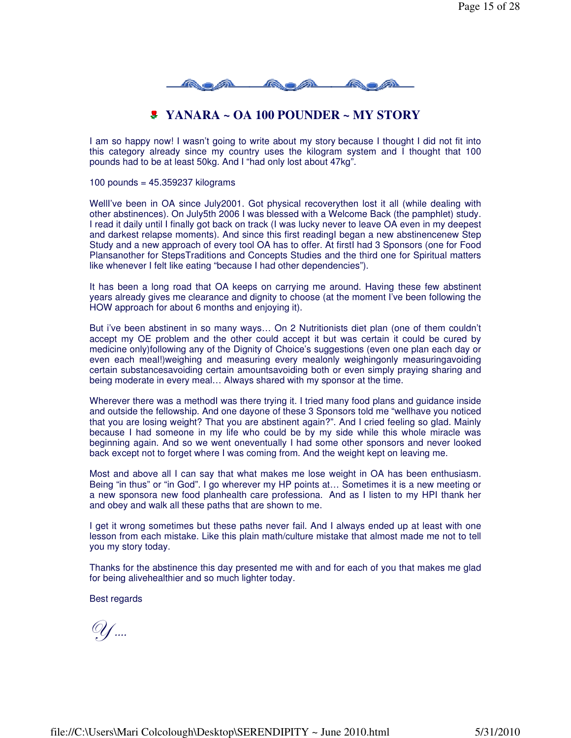

## **YANARA ~ OA 100 POUNDER ~ MY STORY**

I am so happy now! I wasn't going to write about my story because I thought I did not fit into this category already since my country uses the kilogram system and I thought that 100 pounds had to be at least 50kg. And I "had only lost about 47kg".

100 pounds = 45.359237 kilograms

WellI've been in OA since July2001. Got physical recoverythen lost it all (while dealing with other abstinences). On July5th 2006 I was blessed with a Welcome Back (the pamphlet) study. I read it daily until I finally got back on track (I was lucky never to leave OA even in my deepest and darkest relapse moments). And since this first readingI began a new abstinencenew Step Study and a new approach of every tool OA has to offer. At firstI had 3 Sponsors (one for Food Plansanother for StepsTraditions and Concepts Studies and the third one for Spiritual matters like whenever I felt like eating "because I had other dependencies").

It has been a long road that OA keeps on carrying me around. Having these few abstinent years already gives me clearance and dignity to choose (at the moment I've been following the HOW approach for about 6 months and enjoying it).

But i've been abstinent in so many ways… On 2 Nutritionists diet plan (one of them couldn't accept my OE problem and the other could accept it but was certain it could be cured by medicine only)following any of the Dignity of Choice's suggestions (even one plan each day or even each meal!)weighing and measuring every mealonly weighingonly measuringavoiding certain substancesavoiding certain amountsavoiding both or even simply praying sharing and being moderate in every meal… Always shared with my sponsor at the time.

Wherever there was a methodI was there trying it. I tried many food plans and guidance inside and outside the fellowship. And one dayone of these 3 Sponsors told me "wellhave you noticed that you are losing weight? That you are abstinent again?". And I cried feeling so glad. Mainly because I had someone in my life who could be by my side while this whole miracle was beginning again. And so we went oneventually I had some other sponsors and never looked back except not to forget where I was coming from. And the weight kept on leaving me.

Most and above all I can say that what makes me lose weight in OA has been enthusiasm. Being "in thus" or "in God". I go wherever my HP points at… Sometimes it is a new meeting or a new sponsora new food planhealth care professiona. And as I listen to my HPI thank her and obey and walk all these paths that are shown to me.

I get it wrong sometimes but these paths never fail. And I always ended up at least with one lesson from each mistake. Like this plain math/culture mistake that almost made me not to tell you my story today.

Thanks for the abstinence this day presented me with and for each of you that makes me glad for being alivehealthier and so much lighter today.

Best regards

U ....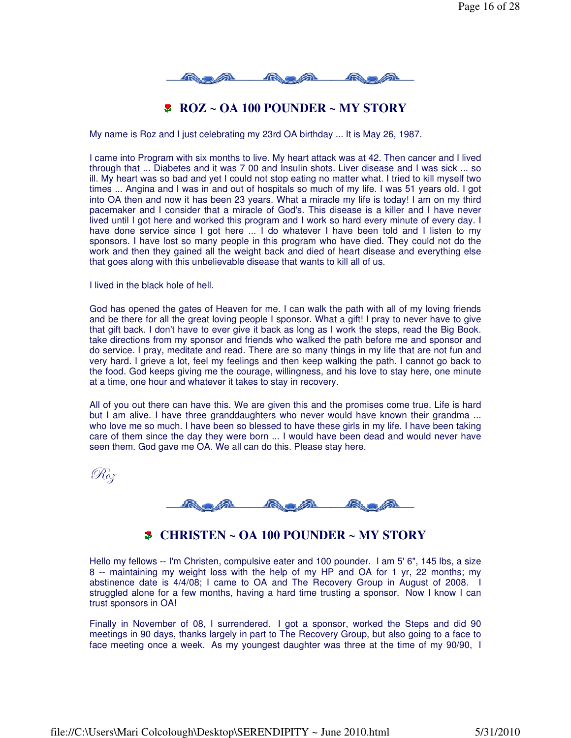

## **ROZ ~ OA 100 POUNDER ~ MY STORY**

My name is Roz and I just celebrating my 23rd OA birthday ... It is May 26, 1987.

I came into Program with six months to live. My heart attack was at 42. Then cancer and I lived through that ... Diabetes and it was 7 00 and Insulin shots. Liver disease and I was sick ... so ill. My heart was so bad and yet I could not stop eating no matter what. I tried to kill myself two times ... Angina and I was in and out of hospitals so much of my life. I was 51 years old. I got into OA then and now it has been 23 years. What a miracle my life is today! I am on my third pacemaker and I consider that a miracle of God's. This disease is a killer and I have never lived until I got here and worked this program and I work so hard every minute of every day. I have done service since I got here ... I do whatever I have been told and I listen to my sponsors. I have lost so many people in this program who have died. They could not do the work and then they gained all the weight back and died of heart disease and everything else that goes along with this unbelievable disease that wants to kill all of us.

I lived in the black hole of hell.

God has opened the gates of Heaven for me. I can walk the path with all of my loving friends and be there for all the great loving people I sponsor. What a gift! I pray to never have to give that gift back. I don't have to ever give it back as long as I work the steps, read the Big Book. take directions from my sponsor and friends who walked the path before me and sponsor and do service. I pray, meditate and read. There are so many things in my life that are not fun and very hard. I grieve a lot, feel my feelings and then keep walking the path. I cannot go back to the food. God keeps giving me the courage, willingness, and his love to stay here, one minute at a time, one hour and whatever it takes to stay in recovery.

All of you out there can have this. We are given this and the promises come true. Life is hard but I am alive. I have three granddaughters who never would have known their grandma ... who love me so much. I have been so blessed to have these girls in my life. I have been taking care of them since the day they were born ... I would have been dead and would never have seen them. God gave me OA. We all can do this. Please stay here.





### **CHRISTEN ~ OA 100 POUNDER ~ MY STORY**

Hello my fellows -- I'm Christen, compulsive eater and 100 pounder. I am 5' 6", 145 lbs, a size 8 -- maintaining my weight loss with the help of my HP and OA for 1 yr, 22 months; my abstinence date is 4/4/08; I came to OA and The Recovery Group in August of 2008. I struggled alone for a few months, having a hard time trusting a sponsor. Now I know I can trust sponsors in OA!

Finally in November of 08, I surrendered. I got a sponsor, worked the Steps and did 90 meetings in 90 days, thanks largely in part to The Recovery Group, but also going to a face to face meeting once a week. As my youngest daughter was three at the time of my 90/90, I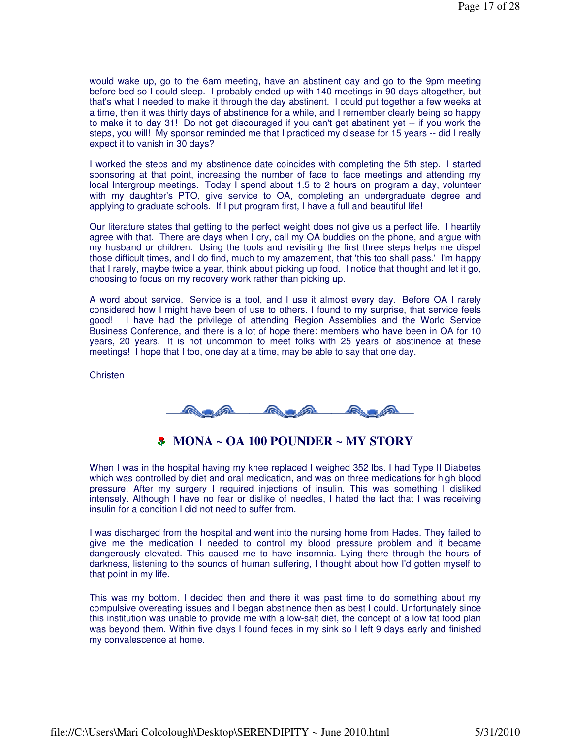would wake up, go to the 6am meeting, have an abstinent day and go to the 9pm meeting before bed so I could sleep. I probably ended up with 140 meetings in 90 days altogether, but that's what I needed to make it through the day abstinent. I could put together a few weeks at a time, then it was thirty days of abstinence for a while, and I remember clearly being so happy to make it to day 31! Do not get discouraged if you can't get abstinent yet -- if you work the steps, you will! My sponsor reminded me that I practiced my disease for 15 years -- did I really expect it to vanish in 30 days?

I worked the steps and my abstinence date coincides with completing the 5th step. I started sponsoring at that point, increasing the number of face to face meetings and attending my local Intergroup meetings. Today I spend about 1.5 to 2 hours on program a day, volunteer with my daughter's PTO, give service to OA, completing an undergraduate degree and applying to graduate schools. If I put program first, I have a full and beautiful life!

Our literature states that getting to the perfect weight does not give us a perfect life. I heartily agree with that. There are days when I cry, call my OA buddies on the phone, and argue with my husband or children. Using the tools and revisiting the first three steps helps me dispel those difficult times, and I do find, much to my amazement, that 'this too shall pass.' I'm happy that I rarely, maybe twice a year, think about picking up food. I notice that thought and let it go, choosing to focus on my recovery work rather than picking up.

A word about service. Service is a tool, and I use it almost every day. Before OA I rarely considered how I might have been of use to others. I found to my surprise, that service feels good! I have had the privilege of attending Region Assemblies and the World Service Business Conference, and there is a lot of hope there: members who have been in OA for 10 years, 20 years. It is not uncommon to meet folks with 25 years of abstinence at these meetings! I hope that I too, one day at a time, may be able to say that one day.

Christen



## **MONA ~ OA 100 POUNDER ~ MY STORY**

When I was in the hospital having my knee replaced I weighed 352 lbs. I had Type II Diabetes which was controlled by diet and oral medication, and was on three medications for high blood pressure. After my surgery I required injections of insulin. This was something I disliked intensely. Although I have no fear or dislike of needles, I hated the fact that I was receiving insulin for a condition I did not need to suffer from.

I was discharged from the hospital and went into the nursing home from Hades. They failed to give me the medication I needed to control my blood pressure problem and it became dangerously elevated. This caused me to have insomnia. Lying there through the hours of darkness, listening to the sounds of human suffering, I thought about how I'd gotten myself to that point in my life.

This was my bottom. I decided then and there it was past time to do something about my compulsive overeating issues and I began abstinence then as best I could. Unfortunately since this institution was unable to provide me with a low-salt diet, the concept of a low fat food plan was beyond them. Within five days I found feces in my sink so I left 9 days early and finished my convalescence at home.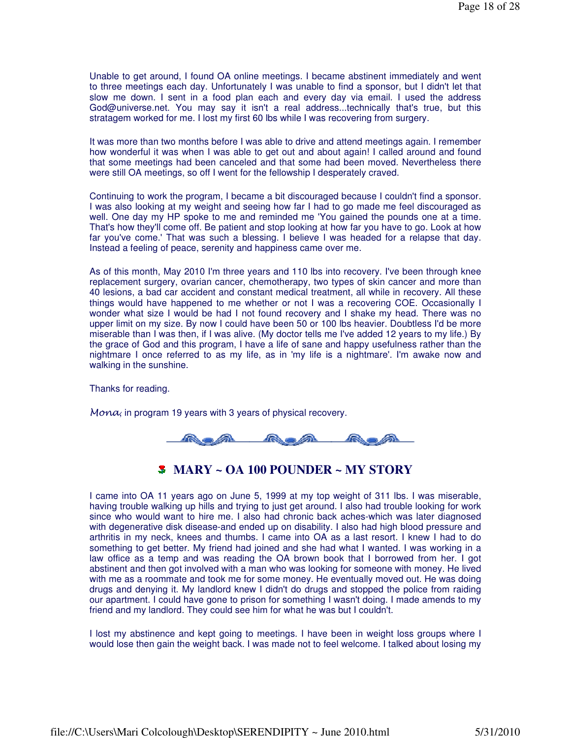Unable to get around, I found OA online meetings. I became abstinent immediately and went to three meetings each day. Unfortunately I was unable to find a sponsor, but I didn't let that slow me down. I sent in a food plan each and every day via email. I used the address God@universe.net. You may say it isn't a real address...technically that's true, but this stratagem worked for me. I lost my first 60 lbs while I was recovering from surgery.

It was more than two months before I was able to drive and attend meetings again. I remember how wonderful it was when I was able to get out and about again! I called around and found that some meetings had been canceled and that some had been moved. Nevertheless there were still OA meetings, so off I went for the fellowship I desperately craved.

Continuing to work the program, I became a bit discouraged because I couldn't find a sponsor. I was also looking at my weight and seeing how far I had to go made me feel discouraged as well. One day my HP spoke to me and reminded me 'You gained the pounds one at a time. That's how they'll come off. Be patient and stop looking at how far you have to go. Look at how far you've come.' That was such a blessing. I believe I was headed for a relapse that day. Instead a feeling of peace, serenity and happiness came over me.

As of this month, May 2010 I'm three years and 110 lbs into recovery. I've been through knee replacement surgery, ovarian cancer, chemotherapy, two types of skin cancer and more than 40 lesions, a bad car accident and constant medical treatment, all while in recovery. All these things would have happened to me whether or not I was a recovering COE. Occasionally I wonder what size I would be had I not found recovery and I shake my head. There was no upper limit on my size. By now I could have been 50 or 100 lbs heavier. Doubtless I'd be more miserable than I was then, if I was alive. (My doctor tells me I've added 12 years to my life.) By the grace of God and this program, I have a life of sane and happy usefulness rather than the nightmare I once referred to as my life, as in 'my life is a nightmare'. I'm awake now and walking in the sunshine.

Thanks for reading.

Mona, in program 19 years with 3 years of physical recovery.



### **MARY ~ OA 100 POUNDER ~ MY STORY**

I came into OA 11 years ago on June 5, 1999 at my top weight of 311 lbs. I was miserable, having trouble walking up hills and trying to just get around. I also had trouble looking for work since who would want to hire me. I also had chronic back aches-which was later diagnosed with degenerative disk disease-and ended up on disability. I also had high blood pressure and arthritis in my neck, knees and thumbs. I came into OA as a last resort. I knew I had to do something to get better. My friend had joined and she had what I wanted. I was working in a law office as a temp and was reading the OA brown book that I borrowed from her. I got abstinent and then got involved with a man who was looking for someone with money. He lived with me as a roommate and took me for some money. He eventually moved out. He was doing drugs and denying it. My landlord knew I didn't do drugs and stopped the police from raiding our apartment. I could have gone to prison for something I wasn't doing. I made amends to my friend and my landlord. They could see him for what he was but I couldn't.

I lost my abstinence and kept going to meetings. I have been in weight loss groups where I would lose then gain the weight back. I was made not to feel welcome. I talked about losing my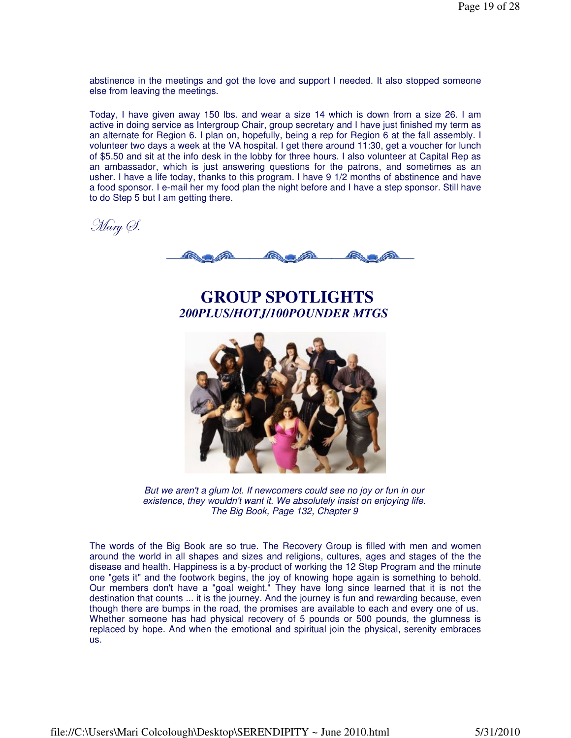abstinence in the meetings and got the love and support I needed. It also stopped someone else from leaving the meetings.

Today, I have given away 150 lbs. and wear a size 14 which is down from a size 26. I am active in doing service as Intergroup Chair, group secretary and I have just finished my term as an alternate for Region 6. I plan on, hopefully, being a rep for Region 6 at the fall assembly. I volunteer two days a week at the VA hospital. I get there around 11:30, get a voucher for lunch of \$5.50 and sit at the info desk in the lobby for three hours. I also volunteer at Capital Rep as an ambassador, which is just answering questions for the patrons, and sometimes as an usher. I have a life today, thanks to this program. I have 9 1/2 months of abstinence and have a food sponsor. I e-mail her my food plan the night before and I have a step sponsor. Still have to do Step 5 but I am getting there.

`Mary Q.

# **GROUP SPOTLIGHTS** *200PLUS/HOTJ/100POUNDER MTGS*



But we aren't a glum lot. If newcomers could see no joy or fun in our existence, they wouldn't want it. We absolutely insist on enjoying life. The Big Book, Page 132, Chapter 9

The words of the Big Book are so true. The Recovery Group is filled with men and women around the world in all shapes and sizes and religions, cultures, ages and stages of the the disease and health. Happiness is a by-product of working the 12 Step Program and the minute one "gets it" and the footwork begins, the joy of knowing hope again is something to behold. Our members don't have a "goal weight." They have long since learned that it is not the destination that counts ... it is the journey. And the journey is fun and rewarding because, even though there are bumps in the road, the promises are available to each and every one of us. Whether someone has had physical recovery of 5 pounds or 500 pounds, the glumness is replaced by hope. And when the emotional and spiritual join the physical, serenity embraces us.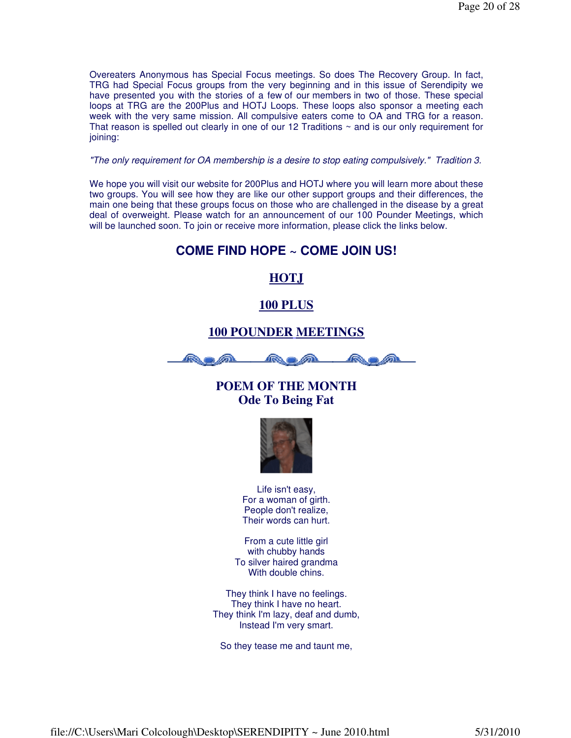Overeaters Anonymous has Special Focus meetings. So does The Recovery Group. In fact, TRG had Special Focus groups from the very beginning and in this issue of Serendipity we have presented you with the stories of a few of our members in two of those. These special loops at TRG are the 200Plus and HOTJ Loops. These loops also sponsor a meeting each week with the very same mission. All compulsive eaters come to OA and TRG for a reason. That reason is spelled out clearly in one of our 12 Traditions  $\sim$  and is our only requirement for joining:

"The only requirement for OA membership is a desire to stop eating compulsively." Tradition 3.

We hope you will visit our website for 200Plus and HOTJ where you will learn more about these two groups. You will see how they are like our other support groups and their differences, the main one being that these groups focus on those who are challenged in the disease by a great deal of overweight. Please watch for an announcement of our 100 Pounder Meetings, which will be launched soon. To join or receive more information, please click the links below.

### **COME FIND HOPE ~ COME JOIN US!**

#### **[HOTJ](http://www.therecoverygroup.org/hotj/index.html)**

### **[100 PLUS](http://www.therecoverygroup.org/hotj/200plus.html)**

#### **[100 POUNDER](mailto:MtgAdm@TheRecoveryGroup.org) MEETINGS**



**POEM OF THE MONTH Ode To Being Fat**



Life isn't easy, For a woman of girth. People don't realize, Their words can hurt.

From a cute little girl with chubby hands To silver haired grandma With double chins.

They think I have no feelings. They think I have no heart. They think I'm lazy, deaf and dumb, Instead I'm very smart.

So they tease me and taunt me,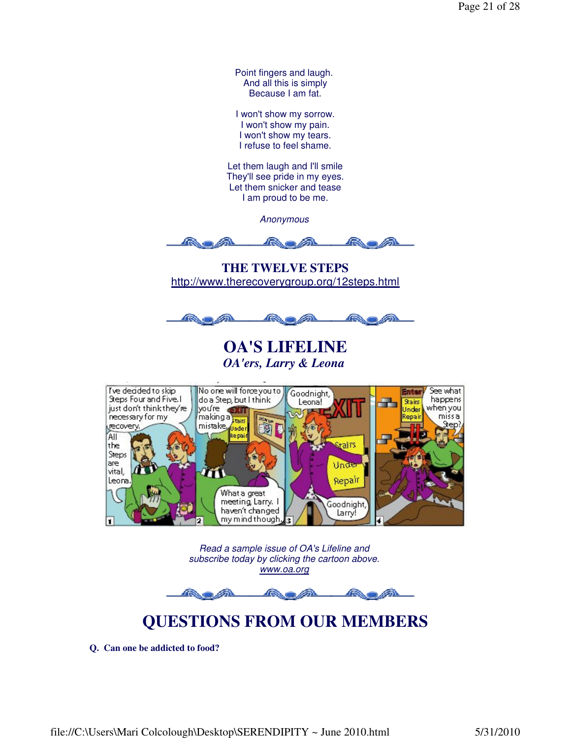Point fingers and laugh. And all this is simply Because I am fat.

I won't show my sorrow. I won't show my pain. I won't show my tears. I refuse to feel shame.

Let them laugh and I'll smile They'll see pride in my eyes. Let them snicker and tease I am proud to be me.

**Anonymous** 



**THE TWELVE STEPS**  <http://www.therecoverygroup.org/12steps.html>



**OA'S LIFELINE** *OA'ers, Larry & Leona*



Read a sample issue of OA's Lifeline and subscribe today by clicking the cartoon above. [www.oa.org](http://www.oa.org/)



# **QUESTIONS FROM OUR MEMBERS**

**Q. Can one be addicted to food?**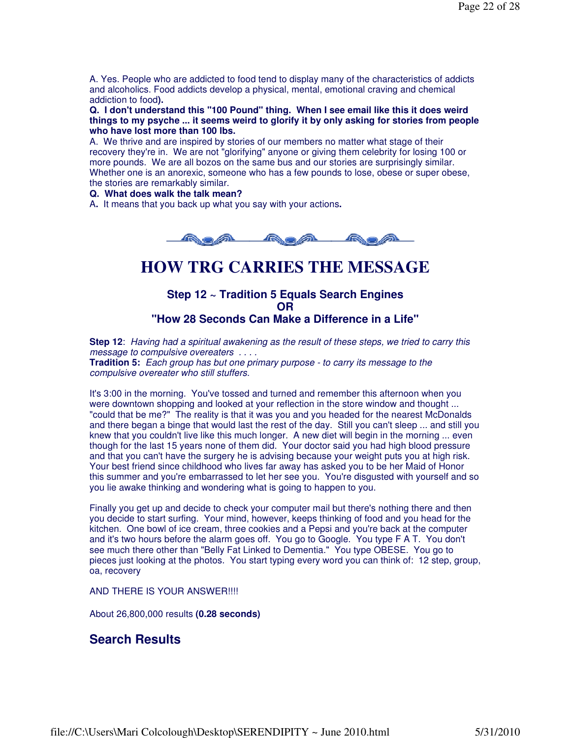A. Yes. People who are addicted to food tend to display many of the characteristics of addicts and alcoholics. Food addicts develop a physical, mental, emotional craving and chemical addiction to food**).**

**Q. I don't understand this "100 Pound" thing. When I see email like this it does weird things to my psyche ... it seems weird to glorify it by only asking for stories from people who have lost more than 100 lbs.**

A. We thrive and are inspired by stories of our members no matter what stage of their recovery they're in. We are not "glorifying" anyone or giving them celebrity for losing 100 or more pounds. We are all bozos on the same bus and our stories are surprisingly similar. Whether one is an anorexic, someone who has a few pounds to lose, obese or super obese, the stories are remarkably similar.

#### **Q. What does walk the talk mean?**

A**.** It means that you back up what you say with your actions**.**



# **HOW TRG CARRIES THE MESSAGE**

#### **Step 12 ~ Tradition 5 Equals Search Engines OR "How 28 Seconds Can Make a Difference in a Life"**

**Step 12**: Having had a spiritual awakening as the result of these steps, we tried to carry this message to compulsive overeaters . . . .

**Tradition 5:** Each group has but one primary purpose - to carry its message to the compulsive overeater who still stuffers.

It's 3:00 in the morning. You've tossed and turned and remember this afternoon when you were downtown shopping and looked at your reflection in the store window and thought ... "could that be me?" The reality is that it was you and you headed for the nearest McDonalds and there began a binge that would last the rest of the day. Still you can't sleep ... and still you knew that you couldn't live like this much longer. A new diet will begin in the morning ... even though for the last 15 years none of them did. Your doctor said you had high blood pressure and that you can't have the surgery he is advising because your weight puts you at high risk. Your best friend since childhood who lives far away has asked you to be her Maid of Honor this summer and you're embarrassed to let her see you. You're disgusted with yourself and so you lie awake thinking and wondering what is going to happen to you.

Finally you get up and decide to check your computer mail but there's nothing there and then you decide to start surfing. Your mind, however, keeps thinking of food and you head for the kitchen. One bowl of ice cream, three cookies and a Pepsi and you're back at the computer and it's two hours before the alarm goes off. You go to Google. You type F A T. You don't see much there other than "Belly Fat Linked to Dementia." You type OBESE. You go to pieces just looking at the photos. You start typing every word you can think of: 12 step, group, oa, recovery

AND THERE IS YOUR ANSWER!!!!

About 26,800,000 results **(0.28 seconds)**

### **Search Results**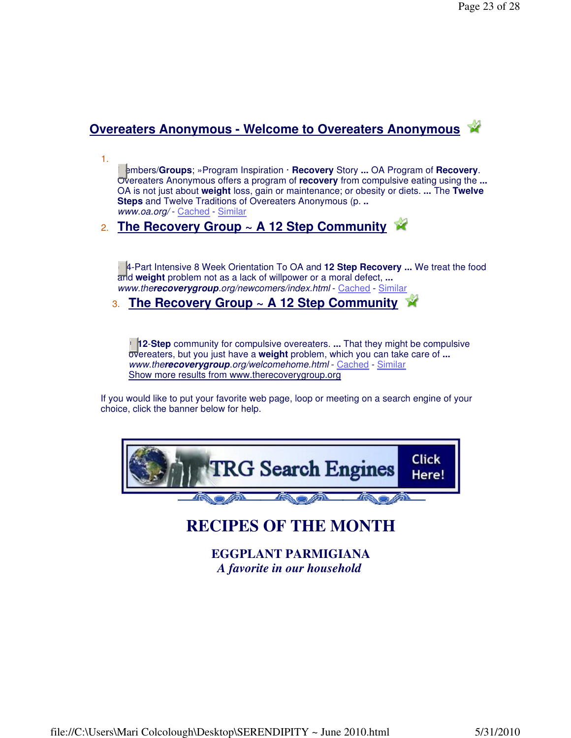# **[Overeaters Anonymous - Welcome to Overeaters Anonymous](http://www.google.com/url?sa=t&source=web&ct=res&cd=1&ved=0CBIQFjAA&url=http://www.oa.org/&rct=j&q=12+step+group+weight+recovery&ei=ctb5S_rICIP7lweojfXhCg&usg=AFQjCNFTOb3ASZFmJNpRBC7G7rIppRPQqQ)**

1.

Members/**Groups**; »Program Inspiration · **Recovery** Story **...** OA Program of **Recovery**. Overeaters Anonymous offers a program of **recovery** from compulsive eating using the **...** OA is not just about **weight** loss, gain or maintenance; or obesity or diets. **...** The **Twelve Steps** and Twelve Traditions of Overeaters Anonymous (p. **..** [www.oa.org/](http://www.oa.org/) - Cached - Similar

## 2. **[The Recovery Group ~ A 12 Step Community](http://www.therecoverygroup.org/newcomers/index.html)**

A 4-Part Intensive 8 Week Orientation To OA and **12 Step Recovery ...** We treat the food and **weight** problem not as a lack of willpower or a moral defect, **...** www.the**recoverygroup**[.org/newcomers/index.html](http://www.therecoverygroup.org/newcomers/index.html) - Cached - Similar

## 3. **[The Recovery Group ~ A 12 Step Community](http://www.therecoverygroup.org/welcomehome.html)**

A **12**-**Step** community for compulsive overeaters. **...** That they might be compulsive overeaters, but you just have a **weight** problem, which you can take care of **...** www.the**recoverygroup**[.org/welcomehome.html](http://www.therecoverygroup.org/welcomehome.html) - Cached - Similar [Show more results from www.therecoverygroup.org](http://www.google.com/search?hl=en&tbo=p&q=therecoverygroup.org&aq=f&aqi=g2&aql=&oq=&gs_rfai=)

If you would like to put your favorite web page, loop or meeting on a search engine of your choice, click the banner below for help.



# **RECIPES OF THE MONTH**

**EGGPLANT PARMIGIANA**  *A favorite in our household*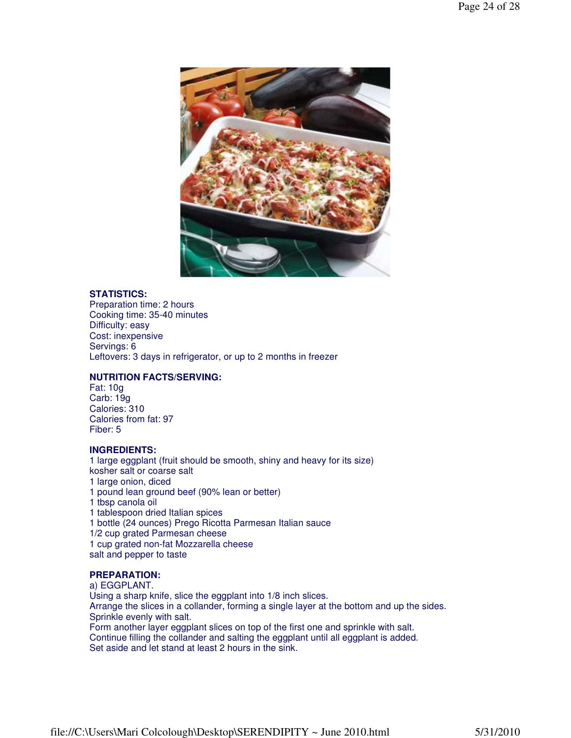

#### **STATISTICS:**

Preparation time: 2 hours Cooking time: 35-40 minutes Difficulty: easy Cost: inexpensive Servings: 6 Leftovers: 3 days in refrigerator, or up to 2 months in freezer

#### **NUTRITION FACTS/SERVING:**

Fat: 10g Carb: 19g Calories: 310 Calories from fat: 97 Fiber: 5

#### **INGREDIENTS:**

1 large eggplant (fruit should be smooth, shiny and heavy for its size) kosher salt or coarse salt 1 large onion, diced 1 pound lean ground beef (90% lean or better) 1 tbsp canola oil 1 tablespoon dried Italian spices 1 bottle (24 ounces) Prego Ricotta Parmesan Italian sauce 1/2 cup grated Parmesan cheese 1 cup grated non-fat Mozzarella cheese salt and pepper to taste

#### **PREPARATION:**

a) EGGPLANT. Using a sharp knife, slice the eggplant into 1/8 inch slices. Arrange the slices in a collander, forming a single layer at the bottom and up the sides. Sprinkle evenly with salt. Form another layer eggplant slices on top of the first one and sprinkle with salt. Continue filling the collander and salting the eggplant until all eggplant is added. Set aside and let stand at least 2 hours in the sink.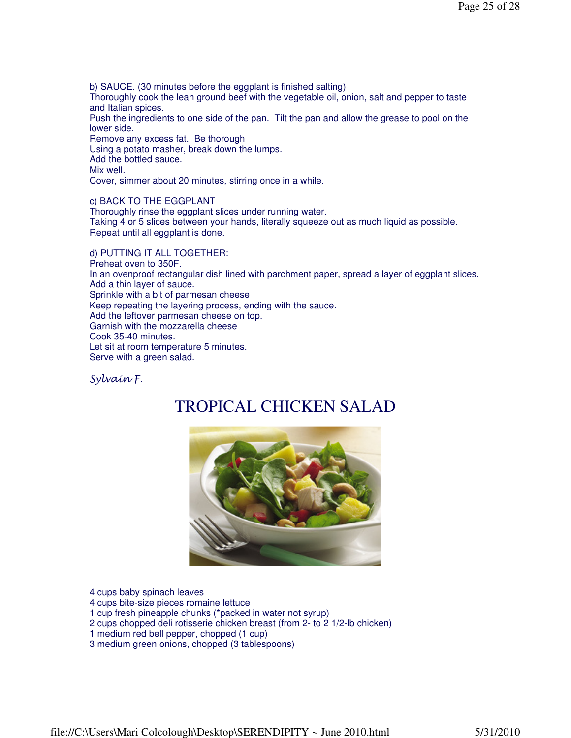b) SAUCE. (30 minutes before the eggplant is finished salting)

Thoroughly cook the lean ground beef with the vegetable oil, onion, salt and pepper to taste and Italian spices.

Push the ingredients to one side of the pan. Tilt the pan and allow the grease to pool on the lower side.

Remove any excess fat. Be thorough

Using a potato masher, break down the lumps.

Add the bottled sauce.

Mix well.

Cover, simmer about 20 minutes, stirring once in a while.

c) BACK TO THE EGGPLANT

Thoroughly rinse the eggplant slices under running water. Taking 4 or 5 slices between your hands, literally squeeze out as much liquid as possible. Repeat until all eggplant is done.

d) PUTTING IT ALL TOGETHER: Preheat oven to 350F. In an ovenproof rectangular dish lined with parchment paper, spread a layer of eggplant slices. Add a thin layer of sauce. Sprinkle with a bit of parmesan cheese Keep repeating the layering process, ending with the sauce. Add the leftover parmesan cheese on top. Garnish with the mozzarella cheese Cook 35-40 minutes. Let sit at room temperature 5 minutes. Serve with a green salad.

#### Sylvain F.

# TROPICAL CHICKEN SALAD



4 cups baby spinach leaves

- 4 cups bite-size pieces romaine lettuce
- 1 cup fresh pineapple chunks (\*packed in water not syrup)
- 2 cups chopped deli rotisserie chicken breast (from 2- to 2 1/2-lb chicken)
- 1 medium red bell pepper, chopped (1 cup)
- 3 medium green onions, chopped (3 tablespoons)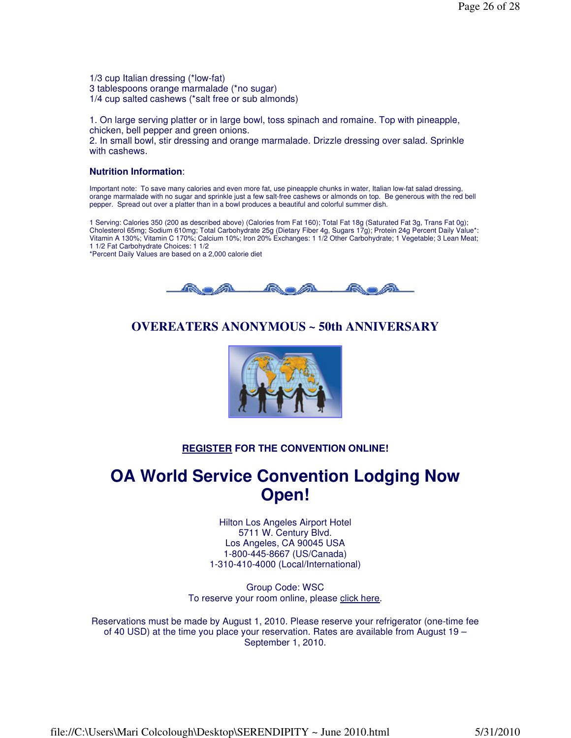1/3 cup Italian dressing (\*low-fat) 3 tablespoons orange marmalade (\*no sugar) 1/4 cup salted cashews (\*salt free or sub almonds)

1. On large serving platter or in large bowl, toss spinach and romaine. Top with pineapple, chicken, bell pepper and green onions.

2. In small bowl, stir dressing and orange marmalade. Drizzle dressing over salad. Sprinkle with cashews.

#### **Nutrition Information**:

Important note: To save many calories and even more fat, use pineapple chunks in water, Italian low-fat salad dressing, orange marmalade with no sugar and sprinkle just a few salt-free cashews or almonds on top. Be generous with the red bell pepper. Spread out over a platter than in a bowl produces a beautiful and colorful summer dish.

1 Serving: Calories 350 (200 as described above) (Calories from Fat 160); Total Fat 18g (Saturated Fat 3g, Trans Fat 0g); Cholesterol 65mg; Sodium 610mg; Total Carbohydrate 25g (Dietary Fiber 4g, Sugars 17g); Protein 24g Percent Daily Value\*: Vitamin A 130%; Vitamin C 170%; Calcium 10%; Iron 20% Exchanges: 1 1/2 Other Carbohydrate; 1 Vegetable; 3 Lean Meat; 1 1/2 Fat Carbohydrate Choices: 1 1/2

\*Percent Daily Values are based on a 2,000 calorie diet



## **OVEREATERS ANONYMOUS ~ 50th ANNIVERSARY**



#### **[REGISTER](http://www.oa.org/convention/) FOR THE CONVENTION ONLINE!**

# **OA World Service Convention Lodging Now Open!**

Hilton Los Angeles Airport Hotel 5711 W. Century Blvd. Los Angeles, CA 90045 USA 1-800-445-8667 (US/Canada) 1-310-410-4000 (Local/International)

Group Code: WSC To reserve your room online, please [click here.](http://www.hilton.com/en/hi/groups/personalized/LAXAHHH-WSC-20100819/index.jhtml) 

Reservations must be made by August 1, 2010. Please reserve your refrigerator (one-time fee of 40 USD) at the time you place your reservation. Rates are available from August 19 – September 1, 2010.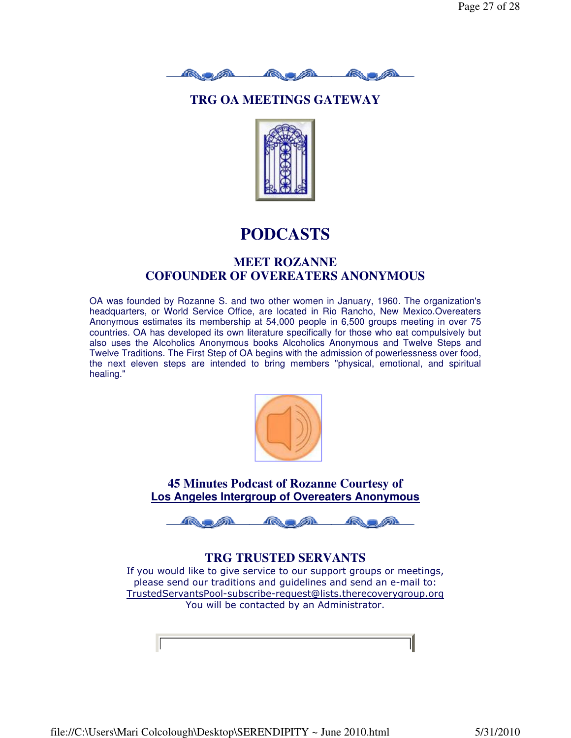## **[TRG OA MEETINGS GATEWAY](http://www.starchat.net/chat/?chan=Recovery)**



# **PODCASTS**

### **MEET ROZANNE COFOUNDER OF OVEREATERS ANONYMOUS**

OA was founded by Rozanne S. and two other women in January, 1960. The organization's headquarters, or World Service Office, are located in Rio Rancho, New Mexico.Overeaters Anonymous estimates its membership at 54,000 people in 6,500 groups meeting in over 75 countries. OA has developed its own literature specifically for those who eat compulsively but also uses the Alcoholics Anonymous books Alcoholics Anonymous and Twelve Steps and Twelve Traditions. The First Step of OA begins with the admission of powerlessness over food, the next eleven steps are intended to bring members "physical, emotional, and spiritual healing."



**[45 Minutes Podcast of Rozanne Courtesy of](http://www.oalaig.org/speakers/rozanne-s.mp3)  Los Angeles Intergroup of Overeaters Anonymous**



### **TRG TRUSTED SERVANTS**

If you would like to give service to our support groups or meetings, please send our traditions and guidelines and send an e-mail to: [TrustedServantsPool-subscribe-request@lists.therecoverygroup.org](mailto:TrustedServantsPool-subscribe-request@lists.therecoverygroup.org) You will be contacted by an Administrator.